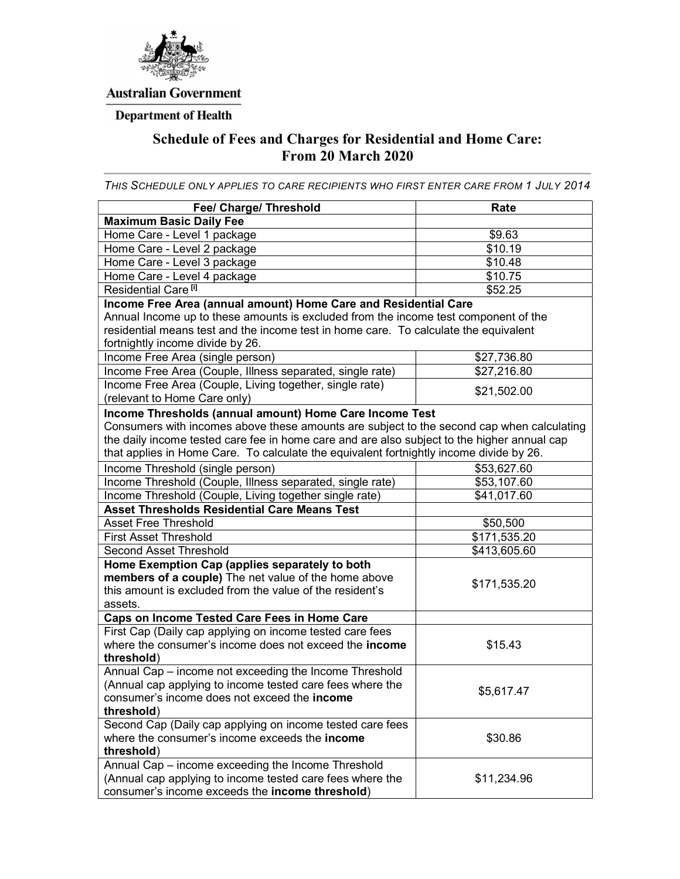

### **Australian Government**

# **Department of Health**

## Schedule of Fees and Charges for Residential and Home Care: From 20 March 2020

THIS SCHEDULE ONLY APPLIES TO CARE RECIPIENTS WHO FIRST ENTER CARE FROM 1 JULY 2014

| Fee/ Charge/ Threshold                                                                                                                                                                                                                                                                                                                         | Rate                |
|------------------------------------------------------------------------------------------------------------------------------------------------------------------------------------------------------------------------------------------------------------------------------------------------------------------------------------------------|---------------------|
| <b>Maximum Basic Daily Fee</b>                                                                                                                                                                                                                                                                                                                 |                     |
| Home Care - Level 1 package                                                                                                                                                                                                                                                                                                                    | \$9.63              |
| Home Care - Level 2 package                                                                                                                                                                                                                                                                                                                    | \$10.19             |
| Home Care - Level 3 package                                                                                                                                                                                                                                                                                                                    | \$10.48             |
| Home Care - Level 4 package                                                                                                                                                                                                                                                                                                                    | \$10.75             |
| Residential Care <sup>[i]</sup>                                                                                                                                                                                                                                                                                                                | $\overline{$}52.25$ |
| Income Free Area (annual amount) Home Care and Residential Care<br>Annual Income up to these amounts is excluded from the income test component of the<br>residential means test and the income test in home care. To calculate the equivalent<br>fortnightly income divide by 26.                                                             |                     |
| Income Free Area (single person)                                                                                                                                                                                                                                                                                                               | \$27,736.80         |
| Income Free Area (Couple, Illness separated, single rate)                                                                                                                                                                                                                                                                                      | \$27,216.80         |
| Income Free Area (Couple, Living together, single rate)<br>(relevant to Home Care only)                                                                                                                                                                                                                                                        | \$21,502.00         |
| Income Thresholds (annual amount) Home Care Income Test<br>Consumers with incomes above these amounts are subject to the second cap when calculating<br>the daily income tested care fee in home care and are also subject to the higher annual cap<br>that applies in Home Care. To calculate the equivalent fortnightly income divide by 26. |                     |
| Income Threshold (single person)                                                                                                                                                                                                                                                                                                               | \$53,627.60         |
| Income Threshold (Couple, Illness separated, single rate)                                                                                                                                                                                                                                                                                      | \$53,107.60         |
| Income Threshold (Couple, Living together single rate)                                                                                                                                                                                                                                                                                         | \$41,017.60         |
| <b>Asset Thresholds Residential Care Means Test</b>                                                                                                                                                                                                                                                                                            |                     |
| <b>Asset Free Threshold</b>                                                                                                                                                                                                                                                                                                                    | \$50,500            |
| <b>First Asset Threshold</b>                                                                                                                                                                                                                                                                                                                   | \$171,535.20        |
| <b>Second Asset Threshold</b>                                                                                                                                                                                                                                                                                                                  | \$413,605.60        |
| Home Exemption Cap (applies separately to both<br>members of a couple) The net value of the home above<br>this amount is excluded from the value of the resident's<br>assets.                                                                                                                                                                  | \$171,535.20        |
| Caps on Income Tested Care Fees in Home Care                                                                                                                                                                                                                                                                                                   |                     |
| First Cap (Daily cap applying on income tested care fees<br>where the consumer's income does not exceed the <b>income</b><br>threshold)                                                                                                                                                                                                        | \$15.43             |
| Annual Cap - income not exceeding the Income Threshold<br>(Annual cap applying to income tested care fees where the<br>consumer's income does not exceed the income<br>threshold)                                                                                                                                                              | \$5,617.47          |
| Second Cap (Daily cap applying on income tested care fees<br>where the consumer's income exceeds the <b>income</b><br>threshold)                                                                                                                                                                                                               | \$30.86             |
| Annual Cap - income exceeding the Income Threshold<br>(Annual cap applying to income tested care fees where the<br>consumer's income exceeds the income threshold)                                                                                                                                                                             | \$11,234.96         |